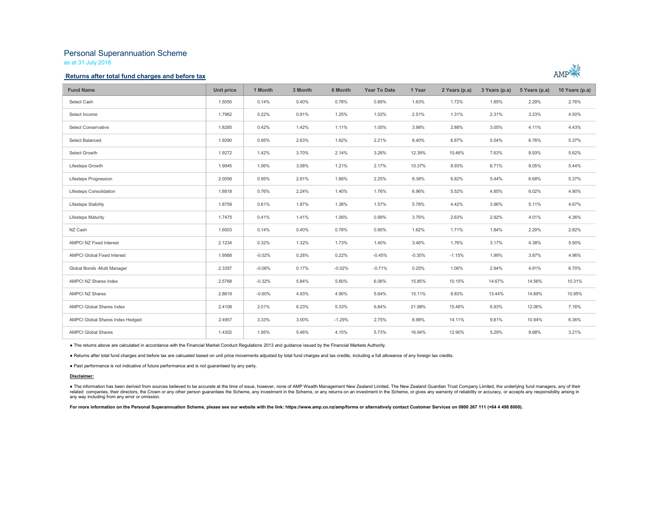# Personal Superannuation Scheme

as at 31 July 2018

### Returns after total fund charges and before tax



| <b>Fund Name</b>                 | Unit price | 1 Month  | 3 Month | 6 Month  | <b>Year To Date</b> | 1 Year   | 2 Years (p.a) | 3 Years (p.a) | 5 Years (p.a) | 10 Years (p.a) |
|----------------------------------|------------|----------|---------|----------|---------------------|----------|---------------|---------------|---------------|----------------|
| Select Cash                      | 1.5055     | 0.14%    | 0.40%   | 0.78%    | 0.89%               | 1.63%    | 1.72%         | 1.85%         | 2.29%         | 2.76%          |
| Select Income                    | 1.7962     | 0.22%    | 0.91%   | 1.25%    | 1.02%               | 2.51%    | 1.31%         | 2.31%         | 3.23%         | 4.50%          |
| <b>Select Conservative</b>       | 1.8285     | 0.42%    | 1.42%   | 1.11%    | 1.05%               | 3.98%    | 2.88%         | 3.05%         | 4.11%         | 4.43%          |
| Select Balanced                  | 1.9290     | 0.95%    | 2.63%   | 1.62%    | 2.21%               | 8.40%    | 6.87%         | 5.54%         | 6.76%         | 5.37%          |
| Select Growth                    | 1.9272     | 1.42%    | 3.70%   | 2.14%    | 3.26%               | 12.39%   | 10.46%        | 7.63%         | 8.93%         | 5.62%          |
| Lifesteps Growth                 | 1.9945     | 1.06%    | 3.08%   | 1.21%    | 2.17%               | 10.37%   | 8.93%         | 6.71%         | 8.05%         | 5.44%          |
| Lifesteps Progression            | 2.0056     | 0.95%    | 2.61%   | 1.66%    | 2.25%               | 8.38%    | 6.82%         | 5.44%         | 6.68%         | 5.37%          |
| Lifesteps Consolidation          | 1.8818     | 0.76%    | 2.24%   | 1.40%    | 1.76%               | 6.96%    | 5.52%         | 4.85%         | 6.02%         | 4.90%          |
| Lifesteps Stability              | 1.8759     | 0.61%    | 1.87%   | 1.38%    | 1.57%               | 5.78%    | 4.42%         | 3.96%         | 5.11%         | 4.67%          |
| <b>Lifesteps Maturity</b>        | 1.7475     | 0.41%    | 1.41%   | 1.06%    | 0.99%               | 3.79%    | 2.63%         | 2.92%         | 4.01%         | 4.36%          |
| NZ Cash                          | 1.6003     | 0.14%    | 0.40%   | 0.78%    | 0.90%               | 1.62%    | 1.71%         | 1.84%         | 2.29%         | 2.82%          |
| AMPCI NZ Fixed Interest          | 2.1234     | 0.32%    | 1.32%   | 1.73%    | 1.40%               | 3.46%    | 1.76%         | 3.17%         | 4.38%         | 5.90%          |
| AMPCI Global Fixed Interest      | 1.9568     | $-0.02%$ | 0.28%   | 0.22%    | $-0.45%$            | $-0.35%$ | $-1.15%$      | 1.99%         | 3.87%         | 4.96%          |
| Global Bonds - Multi Manager     | 2.3357     | $-0.06%$ | 0.17%   | $-0.02%$ | $-0.71%$            | 0.25%    | 1.06%         | 2.94%         | 4.91%         | 6.70%          |
| AMPCI NZ Shares Index            | 2.5768     | $-0.32%$ | 5.84%   | 5.60%    | 6.06%               | 15.85%   | 10.15%        | 14.67%        | 14.56%        | 10.31%         |
| <b>AMPCI NZ Shares</b>           | 2.8619     | $-0.60%$ | 4.93%   | 4.90%    | 5.64%               | 15.11%   | 8.83%         | 13.44%        | 14.69%        | 10.95%         |
| <b>AMPCI Global Shares Index</b> | 2.4108     | 2.01%    | 6.23%   | 5.33%    | 6.84%               | 21.98%   | 15.46%        | 6.93%         | 12.06%        | 7.16%          |
| AMPCI Global Shares Index Hedged | 2.4957     | 3.33%    | 3.00%   | $-1.29%$ | 2.75%               | 8.98%    | 14.11%        | 9.81%         | 10.94%        | 6.36%          |
| <b>AMPCI Global Shares</b>       | 1.4302     | 1.95%    | 5.46%   | 4.15%    | 5.73%               | 16.94%   | 12.90%        | 5.29%         | 9.68%         | 3.21%          |

● The returns above are calculated in accordance with the Financial Market Conduct Regulations 2013 and guidance issued by the Financial Markets Authority.<br>● Returns after total fund charges and before tax are calcuated b

#### Disclaimer:

● The information has been derived from sources believed to be accurate at the time of issue, however, none of AMP Wealth Management New Zealand Limited, The New Zealand Guardian Trust Company Limited, the underlying fund any way including from any error or omission.

For more information on the Personal Superannuation Scheme, please see our website with the link: https://www.amp.co.nz/amp/forms or alternatively contact Customer Services on 0800 267 111 (+64 4 498 8000).